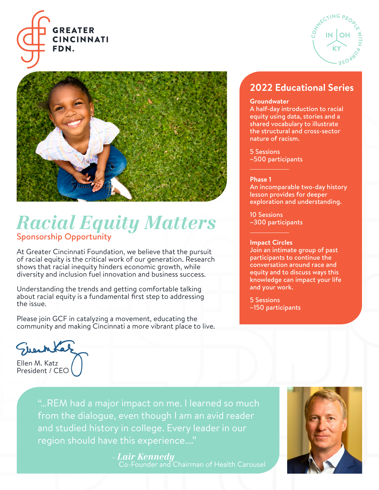



## *Racial Equity Matters* Sponsorship Opportunity

At Greater Cincinnati Foundation, we believe that the pursuit of racial equity is the critical work of our generation. Research shows that racial inequity hinders economic growth, while diversity and inclusion fuel innovation and business success.

Understanding the trends and getting comfortable talking about racial equity is a fundamental first step to addressing the issue.

Please join GCF in catalyzing a movement, educating the community and making Cincinnati a more vibrant place to live.

### **2022 Educational Series**

**C**

**C**<sub>THING</sub> P<sub>EOD</sub>

**IN OH**

**KY**

**W**—1 **H**

**P**<sub>D</sub><sub>2</sub>

**ES**

#### **Groundwater**

A half-day introduction to racial equity using data, stories and a shared vocabulary to illustrate the structural and cross-sector nature of racism.

5 Sessions

~500 participants l

#### **Phase 1**

l

An incomparable two-day history lesson provides for deeper exploration and understanding.

10 Sessions ~300 participants

#### **Impact Circles**

Join an intimate group of past participants to continue the conversation around race and equity and to discuss ways this knowledge can impact your life and your work.

5 Sessions ~150 participants

Fleche Ellen M. Katz President / CEO

"…REM had a major impact on me. I learned so much from the dialogue, even though I am an avid reader and studied history in college. Every leader in our region should have this experience…."

> – *Lair Kennedy* Co-Founder and Chairman of Health Carousel

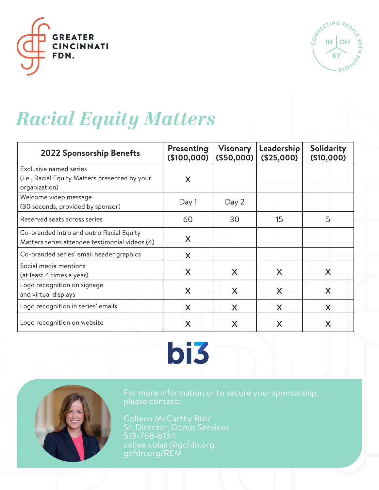



# *Racial Equity Matters*

| 2022 Sponsorship Benefts                                                                         | Presenting<br>(\$100,000) | <b>Visonary</b><br>(\$50,000) | Leadership<br>(\$25,000) | Solidarity<br>(S10,000) |
|--------------------------------------------------------------------------------------------------|---------------------------|-------------------------------|--------------------------|-------------------------|
| <b>Exclusive named series</b><br>(i.e., Racial Equity Matters presented by your<br>organization) | X                         |                               |                          |                         |
| Welcome video message<br>(30 seconds, provided by sponsor)                                       | Day 1                     | Day 2                         |                          |                         |
| Reserved seats across series                                                                     | 60                        | 30                            | 15                       |                         |
| Co-branded intro and outro Racial Equity<br>Matters series attendee testimonial videos (4)       | X                         |                               |                          |                         |
| Co-branded series' email header graphics                                                         | X                         |                               |                          |                         |
| Social media mentions<br>(at least 4 times a year)                                               | X                         | X                             | X                        | X                       |
| Logo recognition on signage<br>and virtual displays                                              | X                         | X                             | X                        | X                       |
| Logo recognition in series' emails                                                               | X                         | X                             | X                        | X                       |
| Logo recognition on website                                                                      | X                         | X                             | Χ                        |                         |

# bi3



For more information or to secure your sponsorship, please contact:

Colleen McCarthy Blair Sr. Director, Donor Services 513-768-6134 colleen.blair@gcfdn.org gcfdn.org/REM